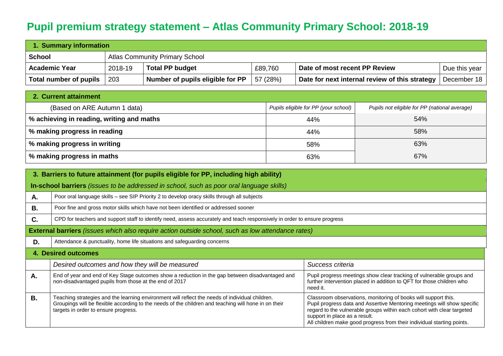## **Pupil premium strategy statement – Atlas Community Primary School: 2018-19**

| 1. Summary information |         |                                       |          |                                                |               |  |
|------------------------|---------|---------------------------------------|----------|------------------------------------------------|---------------|--|
| ∣ School               |         | <b>Atlas Community Primary School</b> |          |                                                |               |  |
| <b>Academic Year</b>   | 2018-19 | <b>Total PP budget</b>                | £89,760  | Date of most recent PP Review                  | Due this year |  |
| Total number of pupils | 203     | Number of pupils eligible for PP      | 57 (28%) | Date for next internal review of this strategy | December 18   |  |

| 2. Current attainment                     |                                      |                                               |  |  |  |  |
|-------------------------------------------|--------------------------------------|-----------------------------------------------|--|--|--|--|
| (Based on ARE Autumn 1 data)              | Pupils eligible for PP (your school) | Pupils not eligible for PP (national average) |  |  |  |  |
| % achieving in reading, writing and maths | 44%                                  | 54%                                           |  |  |  |  |
| % making progress in reading              | 44%                                  | 58%                                           |  |  |  |  |
| % making progress in writing              | 58%                                  | 63%                                           |  |  |  |  |
| % making progress in maths                | 63%                                  | 67%                                           |  |  |  |  |

|           | 3. Barriers to future attainment (for pupils eligible for PP, including high ability)                                                                                                                                                           |                                                                                                                                                                                                                                                                                                                                |  |  |  |  |  |
|-----------|-------------------------------------------------------------------------------------------------------------------------------------------------------------------------------------------------------------------------------------------------|--------------------------------------------------------------------------------------------------------------------------------------------------------------------------------------------------------------------------------------------------------------------------------------------------------------------------------|--|--|--|--|--|
|           | <b>In-school barriers</b> <i>(issues to be addressed in school, such as poor oral language skills)</i>                                                                                                                                          |                                                                                                                                                                                                                                                                                                                                |  |  |  |  |  |
| А.        | Poor oral language skills - see SIP Priority 2 to develop oracy skills through all subjects                                                                                                                                                     |                                                                                                                                                                                                                                                                                                                                |  |  |  |  |  |
| <b>B.</b> | Poor fine and gross motor skills which have not been identified or addressed sooner                                                                                                                                                             |                                                                                                                                                                                                                                                                                                                                |  |  |  |  |  |
| C.        | CPD for teachers and support staff to identify need, assess accurately and teach responsively in order to ensure progress                                                                                                                       |                                                                                                                                                                                                                                                                                                                                |  |  |  |  |  |
|           | External barriers (issues which also require action outside school, such as low attendance rates)                                                                                                                                               |                                                                                                                                                                                                                                                                                                                                |  |  |  |  |  |
| D.        | Attendance & punctuality, home life situations and safeguarding concerns                                                                                                                                                                        |                                                                                                                                                                                                                                                                                                                                |  |  |  |  |  |
|           | 4. Desired outcomes                                                                                                                                                                                                                             |                                                                                                                                                                                                                                                                                                                                |  |  |  |  |  |
|           | Desired outcomes and how they will be measured                                                                                                                                                                                                  | Success criteria                                                                                                                                                                                                                                                                                                               |  |  |  |  |  |
| Α.        | End of year and end of Key Stage outcomes show a reduction in the gap between disadvantaged and<br>non-disadvantaged pupils from those at the end of 2017                                                                                       | Pupil progress meetings show clear tracking of vulnerable groups and<br>further intervention placed in addition to QFT for those children who<br>need it.                                                                                                                                                                      |  |  |  |  |  |
| В.        | Teaching strategies and the learning environment will reflect the needs of individual children.<br>Groupings will be flexible according to the needs of the children and teaching will hone in on their<br>targets in order to ensure progress. | Classroom observations, monitoring of books will support this.<br>Pupil progress data and Assertive Mentoring meetings will show specific<br>regard to the vulnerable groups within each cohort with clear targeted<br>support in place as a result.<br>All children make good progress from their individual starting points. |  |  |  |  |  |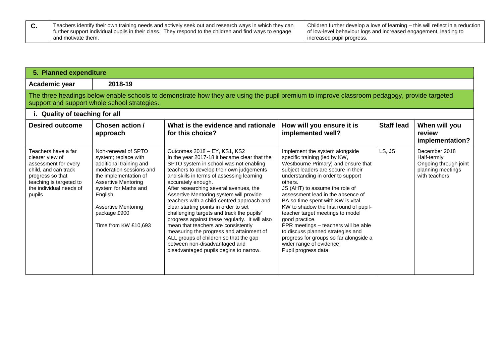| Teachers identify their own training needs and actively seek out and research ways in which they can<br>further support individual pupils in their class. They respond to the children and find ways to engage | Children further develop a love of learning – this will reflect in a reduction<br>I of low-level behaviour logs and increased engagement, leading to |
|----------------------------------------------------------------------------------------------------------------------------------------------------------------------------------------------------------------|------------------------------------------------------------------------------------------------------------------------------------------------------|
| and motivate them.                                                                                                                                                                                             | increased pupil progress.                                                                                                                            |

## **5. Planned expenditure**

**Academic year 2018-19**

The three headings below enable schools to demonstrate how they are using the pupil premium to improve classroom pedagogy, provide targeted support and support whole school strategies.

## **i. Quality of teaching for all**

| $\mathbf{r}$ waanty of teaching for an                                                                                                                                     |                                                                                                                                                                                                                                                                   |                                                                                                                                                                                                                                                                                                                                                                                                                                                                                                                                                                                                                                                                                                                          |                                                                                                                                                                                                                                                                                                                                                                                                                                                                                                                                                                                     |                   |                                                                                             |  |
|----------------------------------------------------------------------------------------------------------------------------------------------------------------------------|-------------------------------------------------------------------------------------------------------------------------------------------------------------------------------------------------------------------------------------------------------------------|--------------------------------------------------------------------------------------------------------------------------------------------------------------------------------------------------------------------------------------------------------------------------------------------------------------------------------------------------------------------------------------------------------------------------------------------------------------------------------------------------------------------------------------------------------------------------------------------------------------------------------------------------------------------------------------------------------------------------|-------------------------------------------------------------------------------------------------------------------------------------------------------------------------------------------------------------------------------------------------------------------------------------------------------------------------------------------------------------------------------------------------------------------------------------------------------------------------------------------------------------------------------------------------------------------------------------|-------------------|---------------------------------------------------------------------------------------------|--|
| <b>Desired outcome</b>                                                                                                                                                     | Chosen action /<br>approach                                                                                                                                                                                                                                       | What is the evidence and rationale<br>for this choice?                                                                                                                                                                                                                                                                                                                                                                                                                                                                                                                                                                                                                                                                   | How will you ensure it is<br>implemented well?                                                                                                                                                                                                                                                                                                                                                                                                                                                                                                                                      | <b>Staff lead</b> | When will you<br>review<br>implementation?                                                  |  |
| Teachers have a far<br>clearer view of<br>assessment for every<br>child, and can track<br>progress so that<br>teaching is targeted to<br>the individual needs of<br>pupils | Non-renewal of SPTO<br>system; replace with<br>additional training and<br>moderation sessions and<br>the implementation of<br><b>Assertive Mentoring</b><br>system for Maths and<br>English<br><b>Assertive Mentoring</b><br>package £900<br>Time from KW £10,693 | Outcomes 2018 - EY, KS1, KS2<br>In the year 2017-18 it became clear that the<br>SPTO system in school was not enabling<br>teachers to develop their own judgements<br>and skills in terms of assessing learning<br>accurately enough.<br>After researching several avenues, the<br>Assertive Mentoring system will provide<br>teachers with a child-centred approach and<br>clear starting points in order to set<br>challenging targets and track the pupils'<br>progress against these regularly. It will also<br>mean that teachers are consistently<br>measuring the progress and attainment of<br>ALL groups of children so that the gap<br>between non-disadvantaged and<br>disadvantaged pupils begins to narrow. | Implement the system alongside<br>specific training (led by KW,<br>Westbourne Primary) and ensure that<br>subject leaders are secure in their<br>understanding in order to support<br>others.<br>JS (AHT) to assume the role of<br>assessment lead in the absence of<br>BA so time spent with KW is vital.<br>KW to shadow the first round of pupil-<br>teacher target meetings to model<br>good practice.<br>PPR meetings – teachers will be able<br>to discuss planned strategies and<br>progress for groups so far alongside a<br>wider range of evidence<br>Pupil progress data | LS, JS            | December 2018<br>Half-termly<br>Ongoing through joint<br>planning meetings<br>with teachers |  |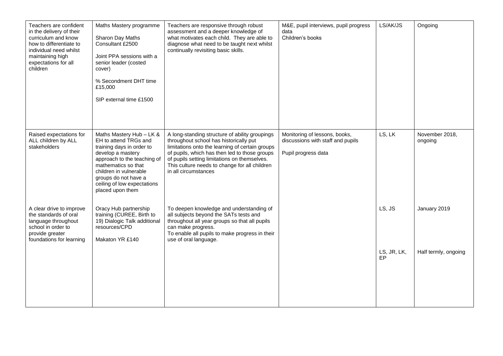| Teachers are confident<br>in the delivery of their<br>curriculum and know<br>how to differentiate to<br>individual need whilst<br>maintaining high<br>expectations for all<br>children | Maths Mastery programme<br>Sharon Day Maths<br>Consultant £2500<br>Joint PPA sessions with a<br>senior leader (costed<br>cover)<br>% Secondment DHT time<br>£15,000<br>SIP external time £1500                                                                 | Teachers are responsive through robust<br>assessment and a deeper knowledge of<br>what motivates each child. They are able to<br>diagnose what need to be taught next whilst<br>continually revisiting basic skills.                                                                                                  | M&E, pupil interviews, pupil progress<br>data<br>Children's books                         | LS/AK/JS          | Ongoing                   |
|----------------------------------------------------------------------------------------------------------------------------------------------------------------------------------------|----------------------------------------------------------------------------------------------------------------------------------------------------------------------------------------------------------------------------------------------------------------|-----------------------------------------------------------------------------------------------------------------------------------------------------------------------------------------------------------------------------------------------------------------------------------------------------------------------|-------------------------------------------------------------------------------------------|-------------------|---------------------------|
| Raised expectations for<br>ALL children by ALL<br>stakeholders                                                                                                                         | Maths Mastery Hub - LK &<br>EH to attend TRGs and<br>training days in order to<br>develop a mastery<br>approach to the teaching of<br>mathematics so that<br>children in vulnerable<br>groups do not have a<br>ceiling of low expectations<br>placed upon them | A long-standing structure of ability groupings<br>throughout school has historically put<br>limitations onto the learning of certain groups<br>of pupils, which has then led to those groups<br>of pupils setting limitations on themselves.<br>This culture needs to change for all children<br>in all circumstances | Monitoring of lessons, books,<br>discussions with staff and pupils<br>Pupil progress data | LS, LK            | November 2018,<br>ongoing |
| A clear drive to improve<br>the standards of oral<br>language throughout<br>school in order to<br>provide greater<br>foundations for learning                                          | Oracy Hub partnership<br>training (CUREE, Birth to<br>19) Dialogic Talk additional<br>resources/CPD<br>Makaton YR £140                                                                                                                                         | To deepen knowledge and understanding of<br>all subjects beyond the SATs tests and<br>throughout all year groups so that all pupils<br>can make progress.<br>To enable all pupils to make progress in their<br>use of oral language.                                                                                  |                                                                                           | LS, JS            | January 2019              |
|                                                                                                                                                                                        |                                                                                                                                                                                                                                                                |                                                                                                                                                                                                                                                                                                                       |                                                                                           | LS, JR, LK,<br>EP | Half termly, ongoing      |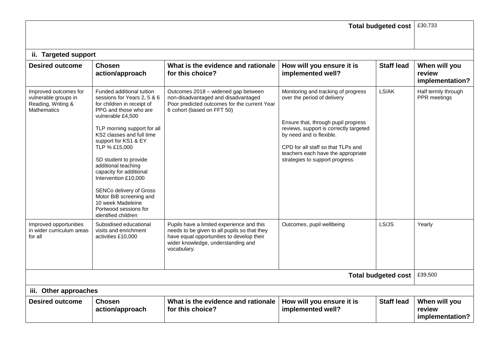| <b>Total budgeted cost</b>                                                                |                                                                                                                                                                                                                                                                                                                                                                                                                                                                         |                                                                                                                                                                                             |                                                                                                                                                                                                                                                                                                |                   | £30,733                                    |  |  |  |
|-------------------------------------------------------------------------------------------|-------------------------------------------------------------------------------------------------------------------------------------------------------------------------------------------------------------------------------------------------------------------------------------------------------------------------------------------------------------------------------------------------------------------------------------------------------------------------|---------------------------------------------------------------------------------------------------------------------------------------------------------------------------------------------|------------------------------------------------------------------------------------------------------------------------------------------------------------------------------------------------------------------------------------------------------------------------------------------------|-------------------|--------------------------------------------|--|--|--|
|                                                                                           |                                                                                                                                                                                                                                                                                                                                                                                                                                                                         |                                                                                                                                                                                             |                                                                                                                                                                                                                                                                                                |                   |                                            |  |  |  |
|                                                                                           | ii. Targeted support                                                                                                                                                                                                                                                                                                                                                                                                                                                    |                                                                                                                                                                                             |                                                                                                                                                                                                                                                                                                |                   |                                            |  |  |  |
| <b>Desired outcome</b>                                                                    | <b>Chosen</b><br>action/approach                                                                                                                                                                                                                                                                                                                                                                                                                                        | What is the evidence and rationale<br>for this choice?                                                                                                                                      | How will you ensure it is<br>implemented well?                                                                                                                                                                                                                                                 | <b>Staff lead</b> | When will you<br>review<br>implementation? |  |  |  |
| Improved outcomes for<br>vulnerable groups in<br>Reading, Writing &<br><b>Mathematics</b> | Funded additional tuition<br>sessions for Years 2, 5 & 6<br>for children in receipt of<br>PPG and those who are<br>vulnerable £4,500<br>TLP morning support for all<br>KS2 classes and full time<br>support for KS1 & EY<br>TLP % £15,000<br>SD student to provide<br>additional teaching<br>capacity for additional<br>Intervention £10,000<br>SENCo delivery of Gross<br>Motor BiB screening and<br>10 week Madeleine<br>Portwood sessions for<br>identified children | Outcomes 2018 - widened gap between<br>non-disadvantaged and disadvantaged<br>Poor predicted outcomes for the current Year<br>6 cohort (based on FFT 50)                                    | Monitoring and tracking of progress<br>over the period of delivery<br>Ensure that, through pupil progress<br>reviews, support is correctly targeted<br>by need and is flexible.<br>CPD for all staff so that TLPs and<br>teachers each have the appropriate<br>strategies to support progress. | LS/AK             | Half termly through<br>PPR meetings        |  |  |  |
| Improved opportunities<br>in wider curriculum areas<br>for all                            | Subsidised educational<br>visits and enrichment<br>activities £10,000                                                                                                                                                                                                                                                                                                                                                                                                   | Pupils have a limited experience and this<br>needs to be given to all pupils so that they<br>have equal opportunities to develop their<br>wider knowledge, understanding and<br>vocabulary. | Outcomes, pupil wellbeing                                                                                                                                                                                                                                                                      | LS/JS             | Yearly                                     |  |  |  |
| <b>Total budgeted cost</b>                                                                |                                                                                                                                                                                                                                                                                                                                                                                                                                                                         |                                                                                                                                                                                             |                                                                                                                                                                                                                                                                                                |                   |                                            |  |  |  |
| iii. Other approaches                                                                     |                                                                                                                                                                                                                                                                                                                                                                                                                                                                         |                                                                                                                                                                                             |                                                                                                                                                                                                                                                                                                |                   |                                            |  |  |  |
| <b>Desired outcome</b>                                                                    | <b>Chosen</b><br>action/approach                                                                                                                                                                                                                                                                                                                                                                                                                                        | What is the evidence and rationale<br>for this choice?                                                                                                                                      | How will you ensure it is<br>implemented well?                                                                                                                                                                                                                                                 | <b>Staff lead</b> | When will you<br>review<br>implementation? |  |  |  |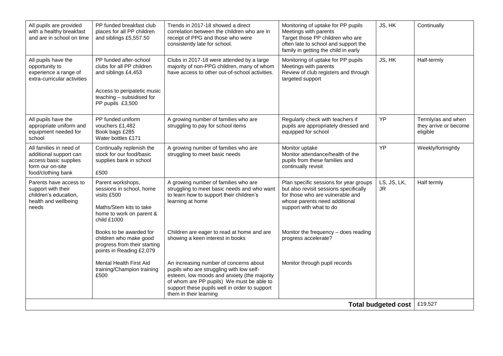| All pupils are provided<br>with a healthy breakfast<br>and are in school on time                                     | PP funded breakfast club<br>places for all PP children<br>and siblings £5,557.50                                                                           | Trends in 2017-18 showed a direct<br>correlation between the children who are in<br>receipt of PPG and those who were<br>consistently late for school.                                                                                                    | Monitoring of uptake for PP pupils<br>Meetings with parents<br>Target those PP children who are<br>often late to school and support the<br>family in getting the child in early  | JS, HK                     | Continually                                             |
|----------------------------------------------------------------------------------------------------------------------|------------------------------------------------------------------------------------------------------------------------------------------------------------|-----------------------------------------------------------------------------------------------------------------------------------------------------------------------------------------------------------------------------------------------------------|----------------------------------------------------------------------------------------------------------------------------------------------------------------------------------|----------------------------|---------------------------------------------------------|
| All pupils have the<br>opportunity to<br>experience a range of<br>extra-curricular activities                        | PP funded after-school<br>clubs for all PP children<br>and siblings £4,453<br>Access to peripatetic music<br>teaching - subsidised for<br>PP pupils £3,500 | Clubs in 2017-18 were attended by a large<br>majority of non-PPG children, many of whom<br>have access to other out-of-school activities.                                                                                                                 | Monitoring of uptake for PP pupils<br>Meetings with parents<br>Review of club registers and through<br>targeted support                                                          | JS, HK                     | Half-termly                                             |
| All pupils have the<br>appropriate uniform and<br>equipment needed for<br>school                                     | PP funded uniform<br>vouchers £1,482<br>Book bags £285<br>Water bottles £171                                                                               | A growing number of families who are<br>struggling to pay for school items                                                                                                                                                                                | Regularly check with teachers if<br>pupils are appropriately dressed and<br>equipped for school                                                                                  | YP                         | Termly/as and when<br>they arrive or become<br>eligible |
| All families in need of<br>additional support can<br>access basic supplies<br>form our on-site<br>food/clothing bank | Continually replenish the<br>stock for our food/basic<br>supplies bank in school<br>£500                                                                   | A growing number of families who are<br>struggling to meet basic needs                                                                                                                                                                                    | Monitor uptake<br>Monitor attendance/health of the<br>pupils from these families and<br>continually revisit                                                                      | <b>YP</b>                  | Weekly/fortnightly                                      |
| Parents have access to<br>support with their<br>children's education,<br>health and wellbeing<br>needs               | Parent workshops,<br>sessions in school, home<br>visits £500<br>Maths/Stem kits to take<br>home to work on parent &<br>child £1000                         | A growing number of families who are<br>struggling to meet basic needs and who want<br>to learn how to support their children's<br>learning at home                                                                                                       | Plan specific sessions for year groups<br>but also revisit sessions specifically<br>for those who are vulnerable and<br>whose parents need additional<br>support with what to do | LS, JS, LK,<br>JR.         | Half termly                                             |
|                                                                                                                      | Books to be awarded for<br>children who make good<br>progress from their starting<br>points in Reading £2,079                                              | Children are eager to read at home and are<br>showing a keen interest in books                                                                                                                                                                            | Monitor the frequency - does reading<br>progress accelerate?                                                                                                                     |                            |                                                         |
|                                                                                                                      | Mental Health First Aid<br>training/Champion training<br>£500                                                                                              | An increasing number of concerns about<br>pupils who are struggling with low self-<br>esteem, low moods and anxiety (the majority<br>of whom are PP pupils) We must be able to<br>support these pupils well in order to support<br>them in their learning | Monitor through pupil records                                                                                                                                                    |                            |                                                         |
|                                                                                                                      |                                                                                                                                                            |                                                                                                                                                                                                                                                           |                                                                                                                                                                                  | <b>Total budgeted cost</b> | £19,527                                                 |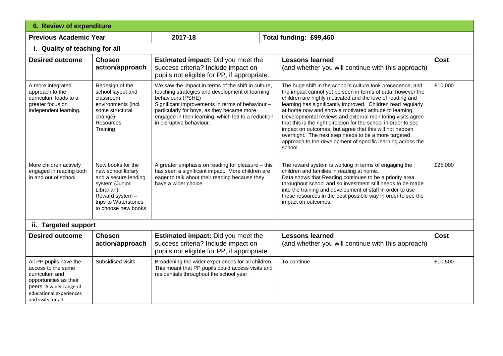| <b>6. Review of expenditure</b>                                                                                                                                      |                                                                                                                                                                   |                                                                                                                                                                                                                                                                                                                  |  |                                                                                                                                                                                                                                                                                                                                                                                                                                                                                                                                                                                                                                                 |             |
|----------------------------------------------------------------------------------------------------------------------------------------------------------------------|-------------------------------------------------------------------------------------------------------------------------------------------------------------------|------------------------------------------------------------------------------------------------------------------------------------------------------------------------------------------------------------------------------------------------------------------------------------------------------------------|--|-------------------------------------------------------------------------------------------------------------------------------------------------------------------------------------------------------------------------------------------------------------------------------------------------------------------------------------------------------------------------------------------------------------------------------------------------------------------------------------------------------------------------------------------------------------------------------------------------------------------------------------------------|-------------|
| <b>Previous Academic Year</b>                                                                                                                                        |                                                                                                                                                                   | 2017-18                                                                                                                                                                                                                                                                                                          |  | Total funding: £99,460                                                                                                                                                                                                                                                                                                                                                                                                                                                                                                                                                                                                                          |             |
| i. Quality of teaching for all                                                                                                                                       |                                                                                                                                                                   |                                                                                                                                                                                                                                                                                                                  |  |                                                                                                                                                                                                                                                                                                                                                                                                                                                                                                                                                                                                                                                 |             |
| <b>Desired outcome</b>                                                                                                                                               | <b>Chosen</b><br>action/approach                                                                                                                                  | <b>Estimated impact:</b> Did you meet the<br>success criteria? Include impact on<br>pupils not eligible for PP, if appropriate.                                                                                                                                                                                  |  | <b>Lessons learned</b><br>(and whether you will continue with this approach)                                                                                                                                                                                                                                                                                                                                                                                                                                                                                                                                                                    | <b>Cost</b> |
| A more integrated<br>approach to the<br>curriculum leads to a<br>greater focus on<br>independent learning.                                                           | Redesign of the<br>school layout and<br>classroom<br>environments (incl.<br>some structural<br>change)<br><b>Resources</b><br>Training                            | We saw the impact in terms of the shift in culture,<br>teaching strategies and development of learning<br>behaviours (PSHE)<br>Significant improvements in terms of behaviour -<br>particularly for boys, as they became more<br>engaged in their learning, which led to a reduction<br>in disruptive behaviour. |  | The huge shift in the school's culture took precedence, and<br>the impact cannot yet be seen in terms of data, however the<br>children are highly motivated and the love of reading and<br>learning has significantly improved. Children read regularly<br>at home now and show a motivated attitude to learning.<br>Developmental reviews and external monitoring visits agree<br>that this is the right direction for the school in order to see<br>impact on outcomes, but agree that this will not happen<br>overnight. The next step needs to be a more targeted<br>approach to the development of specific learning across the<br>school. | £10,000     |
| More children actively<br>engaged in reading both<br>in and out of school.                                                                                           | New books for the<br>new school library<br>and a secure lending<br>system (Junior<br>Librarian)<br>Reward system -<br>trips to Waterstones<br>to choose new books | A greater emphasis on reading for pleasure - this<br>has seen a significant impact. More children are<br>eager to talk about their reading because they<br>have a wider choice                                                                                                                                   |  | The reward system is working in terms of engaging the<br>children and families in reading at home.<br>Data shows that Reading continues to be a priority area<br>throughout school and so investment still needs to be made<br>into the training and development of staff in order to use<br>these resources in the best possible way in order to see the<br>impact on outcomes.                                                                                                                                                                                                                                                                | £25,000     |
| ii. Targeted support                                                                                                                                                 |                                                                                                                                                                   |                                                                                                                                                                                                                                                                                                                  |  |                                                                                                                                                                                                                                                                                                                                                                                                                                                                                                                                                                                                                                                 |             |
| <b>Desired outcome</b>                                                                                                                                               | <b>Chosen</b><br>action/approach                                                                                                                                  | <b>Estimated impact:</b> Did you meet the<br>success criteria? Include impact on<br>pupils not eligible for PP, if appropriate.                                                                                                                                                                                  |  | <b>Lessons learned</b><br>(and whether you will continue with this approach)                                                                                                                                                                                                                                                                                                                                                                                                                                                                                                                                                                    | <b>Cost</b> |
| All PP pupils have the<br>access to the same<br>curriculum and<br>opportunities as their<br>peers: A wider range of<br>educational experiences<br>and visits for all | Subsidised visits                                                                                                                                                 | Broadening the wider experiences for all children.<br>This meant that PP pupils could access visits and<br>residentials throughout the school year.                                                                                                                                                              |  | To continue                                                                                                                                                                                                                                                                                                                                                                                                                                                                                                                                                                                                                                     | £10,500     |